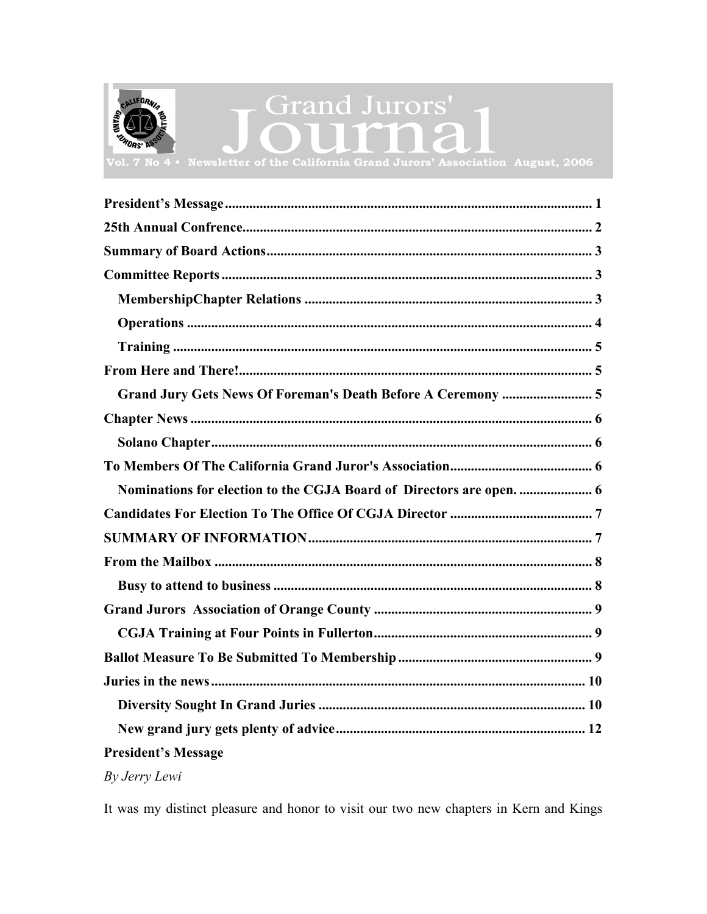<span id="page-0-0"></span>

# **Grand Jurors'**

Newsletter of the California Grand Jurors' Association August, 2006

| Grand Jury Gets News Of Foreman's Death Before A Ceremony  5 |
|--------------------------------------------------------------|
|                                                              |
|                                                              |
|                                                              |
|                                                              |
|                                                              |
|                                                              |
|                                                              |
|                                                              |
|                                                              |
|                                                              |
|                                                              |
|                                                              |
|                                                              |
|                                                              |
| <b>President's Message</b>                                   |

# By Jerry Lewi

It was my distinct pleasure and honor to visit our two new chapters in Kern and Kings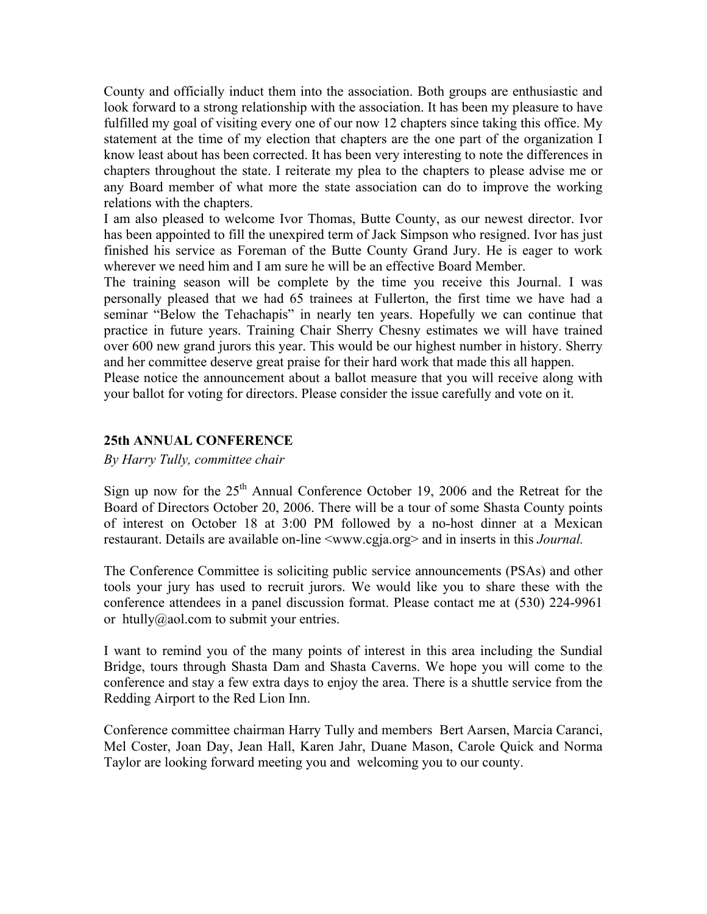<span id="page-1-0"></span>County and officially induct them into the association. Both groups are enthusiastic and look forward to a strong relationship with the association. It has been my pleasure to have fulfilled my goal of visiting every one of our now 12 chapters since taking this office. My statement at the time of my election that chapters are the one part of the organization I know least about has been corrected. It has been very interesting to note the differences in chapters throughout the state. I reiterate my plea to the chapters to please advise me or any Board member of what more the state association can do to improve the working relations with the chapters.

I am also pleased to welcome Ivor Thomas, Butte County, as our newest director. Ivor has been appointed to fill the unexpired term of Jack Simpson who resigned. Ivor has just finished his service as Foreman of the Butte County Grand Jury. He is eager to work wherever we need him and I am sure he will be an effective Board Member.

The training season will be complete by the time you receive this Journal. I was personally pleased that we had 65 trainees at Fullerton, the first time we have had a seminar "Below the Tehachapis" in nearly ten years. Hopefully we can continue that practice in future years. Training Chair Sherry Chesny estimates we will have trained over 600 new grand jurors this year. This would be our highest number in history. Sherry and her committee deserve great praise for their hard work that made this all happen.

Please notice the announcement about a ballot measure that you will receive along with your ballot for voting for directors. Please consider the issue carefully and vote on it.

# **25th ANNUAL CONFERENCE**

*By Harry Tully, committee chair* 

Sign up now for the  $25<sup>th</sup>$  Annual Conference October 19, 2006 and the Retreat for the Board of Directors October 20, 2006. There will be a tour of some Shasta County points of interest on October 18 at 3:00 PM followed by a no-host dinner at a Mexican restaurant. Details are available on-line <www.cgja.org> and in inserts in this *Journal.* 

The Conference Committee is soliciting public service announcements (PSAs) and other tools your jury has used to recruit jurors. We would like you to share these with the conference attendees in a panel discussion format. Please contact me at (530) 224-9961 or htully@aol.com to submit your entries.

I want to remind you of the many points of interest in this area including the Sundial Bridge, tours through Shasta Dam and Shasta Caverns. We hope you will come to the conference and stay a few extra days to enjoy the area. There is a shuttle service from the Redding Airport to the Red Lion Inn.

Conference committee chairman Harry Tully and members Bert Aarsen, Marcia Caranci, Mel Coster, Joan Day, Jean Hall, Karen Jahr, Duane Mason, Carole Quick and Norma Taylor are looking forward meeting you and welcoming you to our county.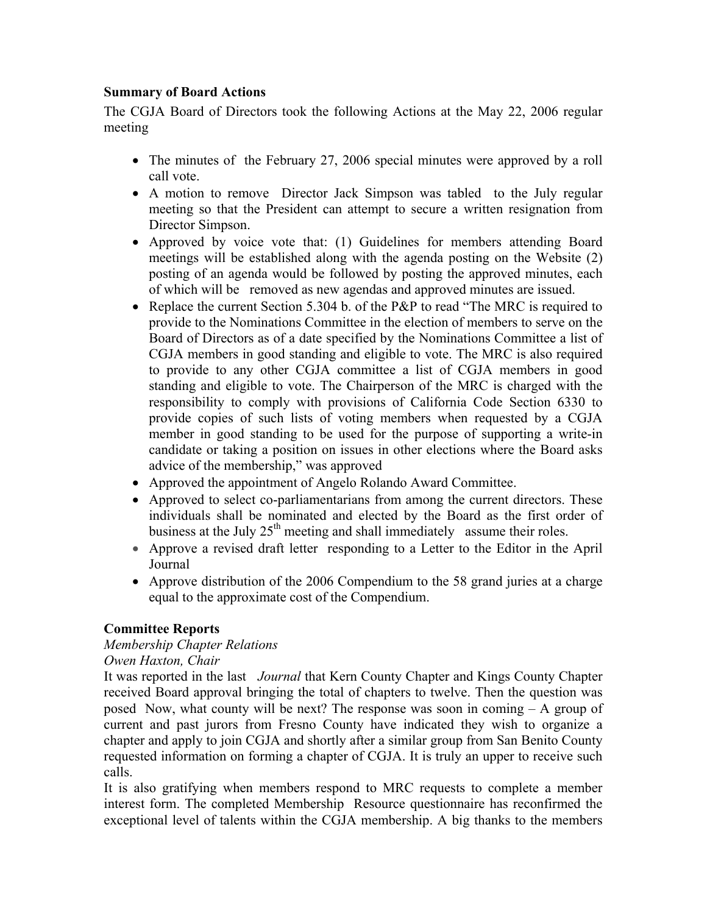# <span id="page-2-0"></span>**Summary of Board Actions**

The CGJA Board of Directors took the following Actions at the May 22, 2006 regular meeting

- The minutes of the February 27, 2006 special minutes were approved by a roll call vote.
- A motion to remove Director Jack Simpson was tabled to the July regular meeting so that the President can attempt to secure a written resignation from Director Simpson.
- Approved by voice vote that: (1) Guidelines for members attending Board meetings will be established along with the agenda posting on the Website (2) posting of an agenda would be followed by posting the approved minutes, each of which will be removed as new agendas and approved minutes are issued.
- Replace the current Section 5.304 b. of the P&P to read "The MRC is required to provide to the Nominations Committee in the election of members to serve on the Board of Directors as of a date specified by the Nominations Committee a list of CGJA members in good standing and eligible to vote. The MRC is also required to provide to any other CGJA committee a list of CGJA members in good standing and eligible to vote. The Chairperson of the MRC is charged with the responsibility to comply with provisions of California Code Section 6330 to provide copies of such lists of voting members when requested by a CGJA member in good standing to be used for the purpose of supporting a write-in candidate or taking a position on issues in other elections where the Board asks advice of the membership," was approved
- Approved the appointment of Angelo Rolando Award Committee.
- Approved to select co-parliamentarians from among the current directors. These individuals shall be nominated and elected by the Board as the first order of business at the July 25<sup>th</sup> meeting and shall immediately assume their roles.
- Approve a revised draft letter responding to a Letter to the Editor in the April Journal
- Approve distribution of the 2006 Compendium to the 58 grand juries at a charge equal to the approximate cost of the Compendium.

# **Committee Reports**

# *Membership Chapter Relations*

# *Owen Haxton, Chair*

It was reported in the last *Journal* that Kern County Chapter and Kings County Chapter received Board approval bringing the total of chapters to twelve. Then the question was posed Now, what county will be next? The response was soon in coming – A group of current and past jurors from Fresno County have indicated they wish to organize a chapter and apply to join CGJA and shortly after a similar group from San Benito County requested information on forming a chapter of CGJA. It is truly an upper to receive such calls.

It is also gratifying when members respond to MRC requests to complete a member interest form. The completed Membership Resource questionnaire has reconfirmed the exceptional level of talents within the CGJA membership. A big thanks to the members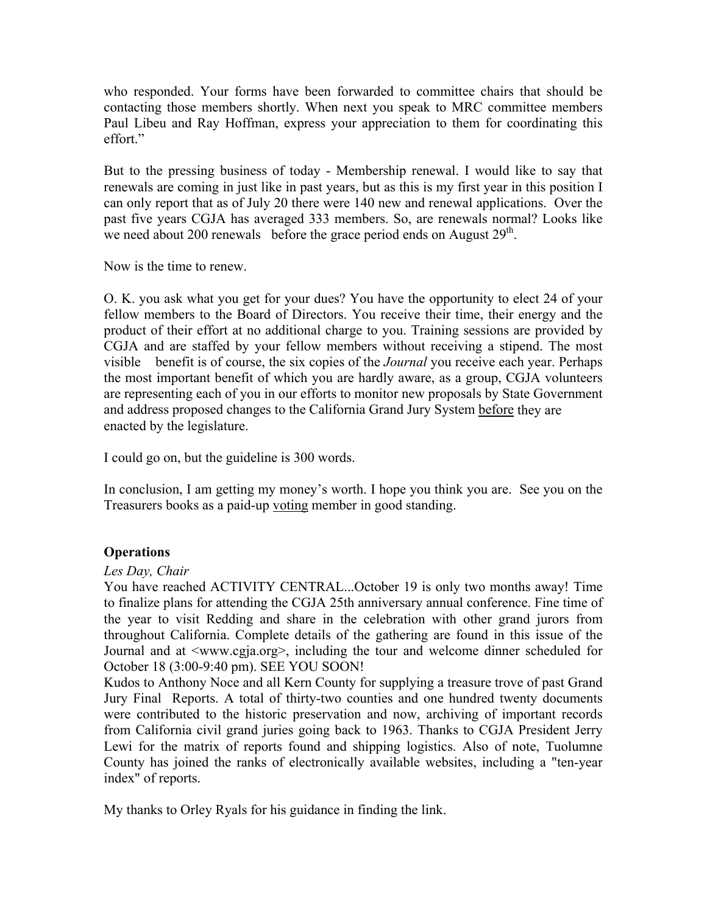<span id="page-3-0"></span>who responded. Your forms have been forwarded to committee chairs that should be contacting those members shortly. When next you speak to MRC committee members Paul Libeu and Ray Hoffman, express your appreciation to them for coordinating this effort."

But to the pressing business of today - Membership renewal. I would like to say that renewals are coming in just like in past years, but as this is my first year in this position I can only report that as of July 20 there were 140 new and renewal applications. Over the past five years CGJA has averaged 333 members. So, are renewals normal? Looks like we need about 200 renewals before the grace period ends on August  $29<sup>th</sup>$ .

Now is the time to renew.

O. K. you ask what you get for your dues? You have the opportunity to elect 24 of your fellow members to the Board of Directors. You receive their time, their energy and the product of their effort at no additional charge to you. Training sessions are provided by CGJA and are staffed by your fellow members without receiving a stipend. The most visible benefit is of course, the six copies of the *Journal* you receive each year. Perhaps the most important benefit of which you are hardly aware, as a group, CGJA volunteers are representing each of you in our efforts to monitor new proposals by State Government and address proposed changes to the California Grand Jury System before they are enacted by the legislature.

I could go on, but the guideline is 300 words.

In conclusion, I am getting my money's worth. I hope you think you are. See you on the Treasurers books as a paid-up voting member in good standing.

# **Operations**

### *Les Day, Chair*

You have reached ACTIVITY CENTRAL...October 19 is only two months away! Time to finalize plans for attending the CGJA 25th anniversary annual conference. Fine time of the year to visit Redding and share in the celebration with other grand jurors from throughout California. Complete details of the gathering are found in this issue of the Journal and at <www.cgja.org>, including the tour and welcome dinner scheduled for October 18 (3:00-9:40 pm). SEE YOU SOON!

Kudos to Anthony Noce and all Kern County for supplying a treasure trove of past Grand Jury Final Reports. A total of thirty-two counties and one hundred twenty documents were contributed to the historic preservation and now, archiving of important records from California civil grand juries going back to 1963. Thanks to CGJA President Jerry Lewi for the matrix of reports found and shipping logistics. Also of note, Tuolumne County has joined the ranks of electronically available websites, including a "ten-year index" of reports.

My thanks to Orley Ryals for his guidance in finding the link.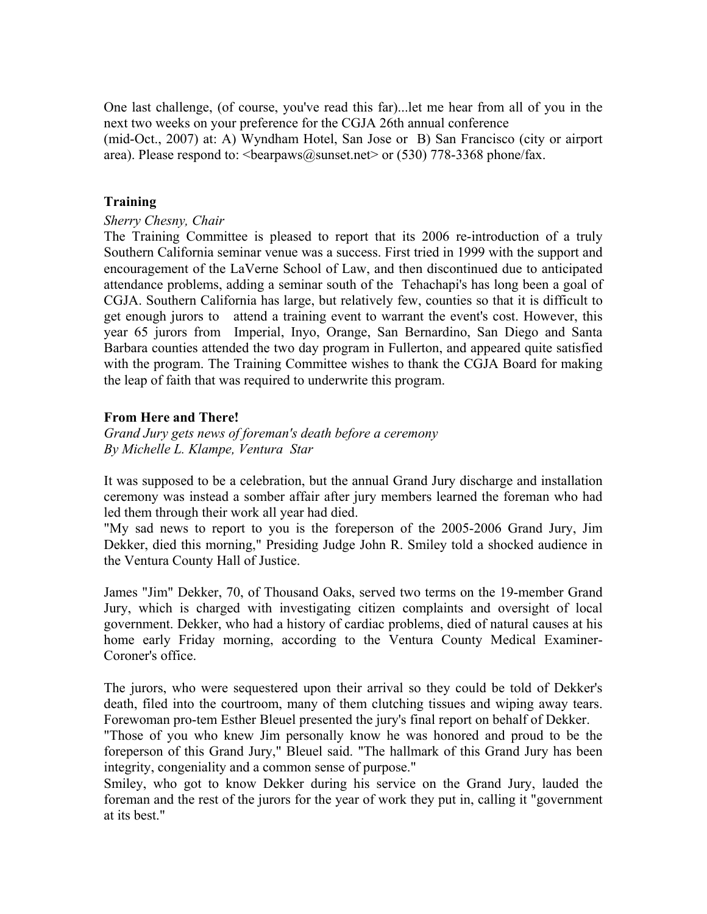<span id="page-4-0"></span>One last challenge, (of course, you've read this far)...let me hear from all of you in the next two weeks on your preference for the CGJA 26th annual conference (mid-Oct., 2007) at: A) Wyndham Hotel, San Jose or B) San Francisco (city or airport area). Please respond to:  $\epsilon$ bearpaws@sunset.net $>$  or (530) 778-3368 phone/fax.

# **Training**

# *Sherry Chesny, Chair*

The Training Committee is pleased to report that its 2006 re-introduction of a truly Southern California seminar venue was a success. First tried in 1999 with the support and encouragement of the LaVerne School of Law, and then discontinued due to anticipated attendance problems, adding a seminar south of the Tehachapi's has long been a goal of CGJA. Southern California has large, but relatively few, counties so that it is difficult to get enough jurors to attend a training event to warrant the event's cost. However, this year 65 jurors from Imperial, Inyo, Orange, San Bernardino, San Diego and Santa Barbara counties attended the two day program in Fullerton, and appeared quite satisfied with the program. The Training Committee wishes to thank the CGJA Board for making the leap of faith that was required to underwrite this program.

# **From Here and There!**

*Grand Jury gets news of foreman's death before a ceremony By Michelle L. Klampe, Ventura Star* 

It was supposed to be a celebration, but the annual Grand Jury discharge and installation ceremony was instead a somber affair after jury members learned the foreman who had led them through their work all year had died.

"My sad news to report to you is the foreperson of the 2005-2006 Grand Jury, Jim Dekker, died this morning," Presiding Judge John R. Smiley told a shocked audience in the Ventura County Hall of Justice.

James "Jim" Dekker, 70, of Thousand Oaks, served two terms on the 19-member Grand Jury, which is charged with investigating citizen complaints and oversight of local government. Dekker, who had a history of cardiac problems, died of natural causes at his home early Friday morning, according to the Ventura County Medical Examiner-Coroner's office.

The jurors, who were sequestered upon their arrival so they could be told of Dekker's death, filed into the courtroom, many of them clutching tissues and wiping away tears. Forewoman pro-tem Esther Bleuel presented the jury's final report on behalf of Dekker.

"Those of you who knew Jim personally know he was honored and proud to be the foreperson of this Grand Jury," Bleuel said. "The hallmark of this Grand Jury has been integrity, congeniality and a common sense of purpose."

Smiley, who got to know Dekker during his service on the Grand Jury, lauded the foreman and the rest of the jurors for the year of work they put in, calling it "government at its best."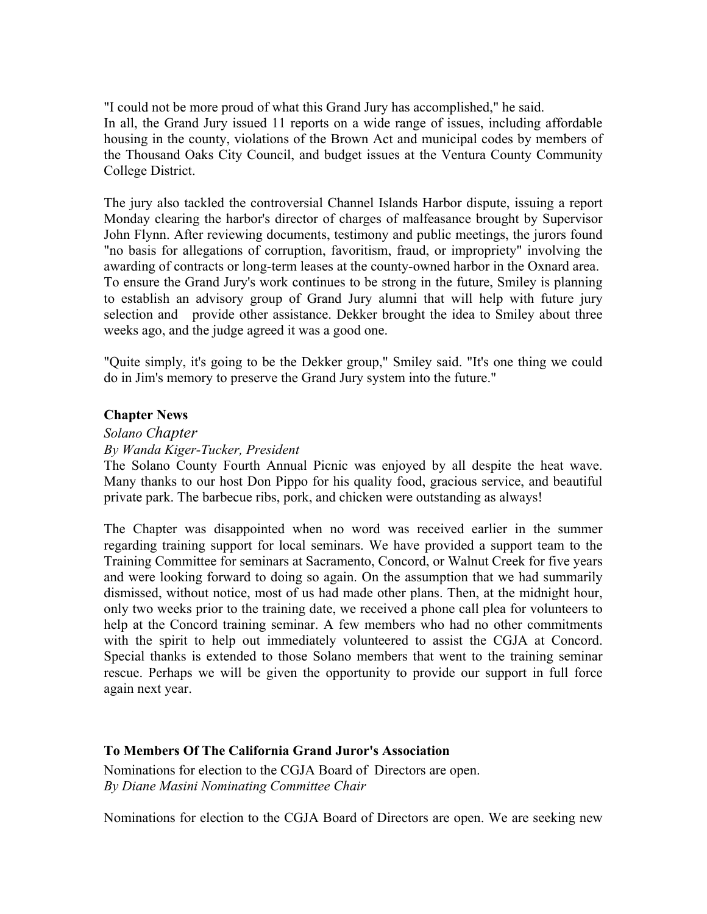<span id="page-5-0"></span>"I could not be more proud of what this Grand Jury has accomplished," he said. In all, the Grand Jury issued 11 reports on a wide range of issues, including affordable housing in the county, violations of the Brown Act and municipal codes by members of the Thousand Oaks City Council, and budget issues at the Ventura County Community College District.

The jury also tackled the controversial Channel Islands Harbor dispute, issuing a report Monday clearing the harbor's director of charges of malfeasance brought by Supervisor John Flynn. After reviewing documents, testimony and public meetings, the jurors found "no basis for allegations of corruption, favoritism, fraud, or impropriety" involving the awarding of contracts or long-term leases at the county-owned harbor in the Oxnard area. To ensure the Grand Jury's work continues to be strong in the future, Smiley is planning to establish an advisory group of Grand Jury alumni that will help with future jury selection and provide other assistance. Dekker brought the idea to Smiley about three weeks ago, and the judge agreed it was a good one.

"Quite simply, it's going to be the Dekker group," Smiley said. "It's one thing we could do in Jim's memory to preserve the Grand Jury system into the future."

# **Chapter News**

### *Solano Chapter*

### *By Wanda Kiger-Tucker, President*

The Solano County Fourth Annual Picnic was enjoyed by all despite the heat wave. Many thanks to our host Don Pippo for his quality food, gracious service, and beautiful private park. The barbecue ribs, pork, and chicken were outstanding as always!

The Chapter was disappointed when no word was received earlier in the summer regarding training support for local seminars. We have provided a support team to the Training Committee for seminars at Sacramento, Concord, or Walnut Creek for five years and were looking forward to doing so again. On the assumption that we had summarily dismissed, without notice, most of us had made other plans. Then, at the midnight hour, only two weeks prior to the training date, we received a phone call plea for volunteers to help at the Concord training seminar. A few members who had no other commitments with the spirit to help out immediately volunteered to assist the CGJA at Concord. Special thanks is extended to those Solano members that went to the training seminar rescue. Perhaps we will be given the opportunity to provide our support in full force again next year.

### **To Members Of The California Grand Juror's Association**

Nominations for election to the CGJA Board of Directors are open. *By Diane Masini Nominating Committee Chair* 

Nominations for election to the CGJA Board of Directors are open. We are seeking new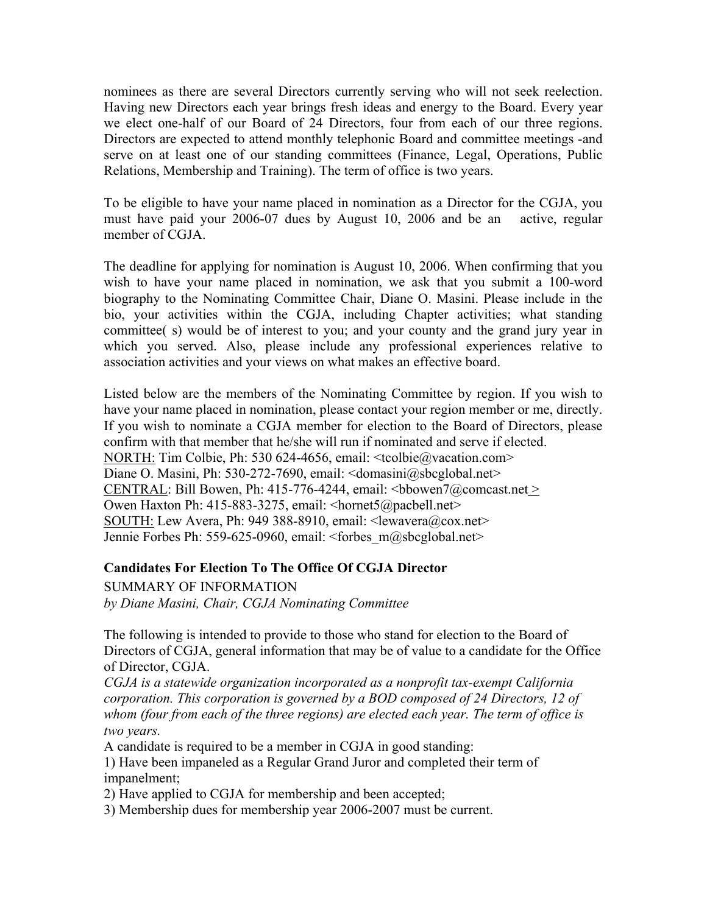<span id="page-6-0"></span>nominees as there are several Directors currently serving who will not seek reelection. Having new Directors each year brings fresh ideas and energy to the Board. Every year we elect one-half of our Board of 24 Directors, four from each of our three regions. Directors are expected to attend monthly telephonic Board and committee meetings -and serve on at least one of our standing committees (Finance, Legal, Operations, Public Relations, Membership and Training). The term of office is two years.

To be eligible to have your name placed in nomination as a Director for the CGJA, you must have paid your 2006-07 dues by August 10, 2006 and be an active, regular member of CGJA.

The deadline for applying for nomination is August 10, 2006. When confirming that you wish to have your name placed in nomination, we ask that you submit a 100-word biography to the Nominating Committee Chair, Diane O. Masini. Please include in the bio, your activities within the CGJA, including Chapter activities; what standing committee( s) would be of interest to you; and your county and the grand jury year in which you served. Also, please include any professional experiences relative to association activities and your views on what makes an effective board.

Listed below are the members of the Nominating Committee by region. If you wish to have your name placed in nomination, please contact your region member or me, directly. If you wish to nominate a CGJA member for election to the Board of Directors, please confirm with that member that he/she will run if nominated and serve if elected. NORTH: Tim Colbie, Ph: 530 624-4656, email: <tcolbie@vacation.com> Diane O. Masini, Ph: 530-272-7690, email: <domasini@sbcglobal.net> CENTRAL: Bill Bowen, Ph: 415-776-4244, email:  $\text{<}$ bbowen7@comcast.net > Owen Haxton Ph: 415-883-3275, email: <hornet5@pacbell.net> SOUTH: Lew Avera, Ph: 949 388-8910, email: <lewavera@cox.net> Jennie Forbes Ph: 559-625-0960, email: <forbes m@sbcglobal.net>

### **Candidates For Election To The Office Of CGJA Director**

SUMMARY OF INFORMATION *by Diane Masini, Chair, CGJA Nominating Committee* 

The following is intended to provide to those who stand for election to the Board of Directors of CGJA, general information that may be of value to a candidate for the Office of Director, CGJA.

*CGJA is a statewide organization incorporated as a nonprofit tax-exempt California corporation. This corporation is governed by a BOD composed of 24 Directors, 12 of whom (four from each of the three regions) are elected each year. The term of office is two years.* 

A candidate is required to be a member in CGJA in good standing:

1) Have been impaneled as a Regular Grand Juror and completed their term of impanelment;

2) Have applied to CGJA for membership and been accepted;

3) Membership dues for membership year 2006-2007 must be current.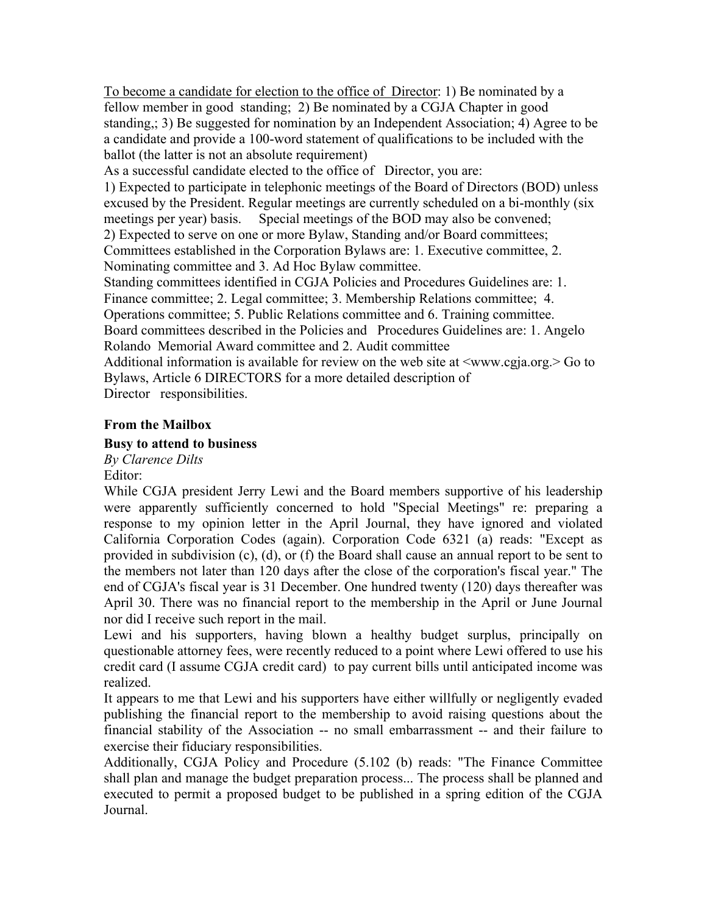<span id="page-7-0"></span>To become a candidate for election to the office of Director: 1) Be nominated by a fellow member in good standing; 2) Be nominated by a CGJA Chapter in good standing,; 3) Be suggested for nomination by an Independent Association; 4) Agree to be a candidate and provide a 100-word statement of qualifications to be included with the ballot (the latter is not an absolute requirement)

As a successful candidate elected to the office of Director, you are:

1) Expected to participate in telephonic meetings of the Board of Directors (BOD) unless excused by the President. Regular meetings are currently scheduled on a bi-monthly (six meetings per year) basis. Special meetings of the BOD may also be convened; 2) Expected to serve on one or more Bylaw, Standing and/or Board committees; Committees established in the Corporation Bylaws are: 1. Executive committee, 2.

Nominating committee and 3. Ad Hoc Bylaw committee.

Standing committees identified in CGJA Policies and Procedures Guidelines are: 1. Finance committee; 2. Legal committee; 3. Membership Relations committee; 4. Operations committee; 5. Public Relations committee and 6. Training committee.

Board committees described in the Policies and Procedures Guidelines are: 1. Angelo Rolando Memorial Award committee and 2. Audit committee

Additional information is available for review on the web site at <www.cgja.org.> Go to Bylaws, Article 6 DIRECTORS for a more detailed description of

Director responsibilities.

# **From the Mailbox**

# **Busy to attend to business**

*By Clarence Dilts*  Editor:

While CGJA president Jerry Lewi and the Board members supportive of his leadership were apparently sufficiently concerned to hold "Special Meetings" re: preparing a response to my opinion letter in the April Journal, they have ignored and violated California Corporation Codes (again). Corporation Code 6321 (a) reads: "Except as provided in subdivision (c), (d), or (f) the Board shall cause an annual report to be sent to the members not later than 120 days after the close of the corporation's fiscal year." The end of CGJA's fiscal year is 31 December. One hundred twenty (120) days thereafter was April 30. There was no financial report to the membership in the April or June Journal nor did I receive such report in the mail.

Lewi and his supporters, having blown a healthy budget surplus, principally on questionable attorney fees, were recently reduced to a point where Lewi offered to use his credit card (I assume CGJA credit card) to pay current bills until anticipated income was realized.

It appears to me that Lewi and his supporters have either willfully or negligently evaded publishing the financial report to the membership to avoid raising questions about the financial stability of the Association -- no small embarrassment -- and their failure to exercise their fiduciary responsibilities.

Additionally, CGJA Policy and Procedure (5.102 (b) reads: "The Finance Committee shall plan and manage the budget preparation process... The process shall be planned and executed to permit a proposed budget to be published in a spring edition of the CGJA Journal.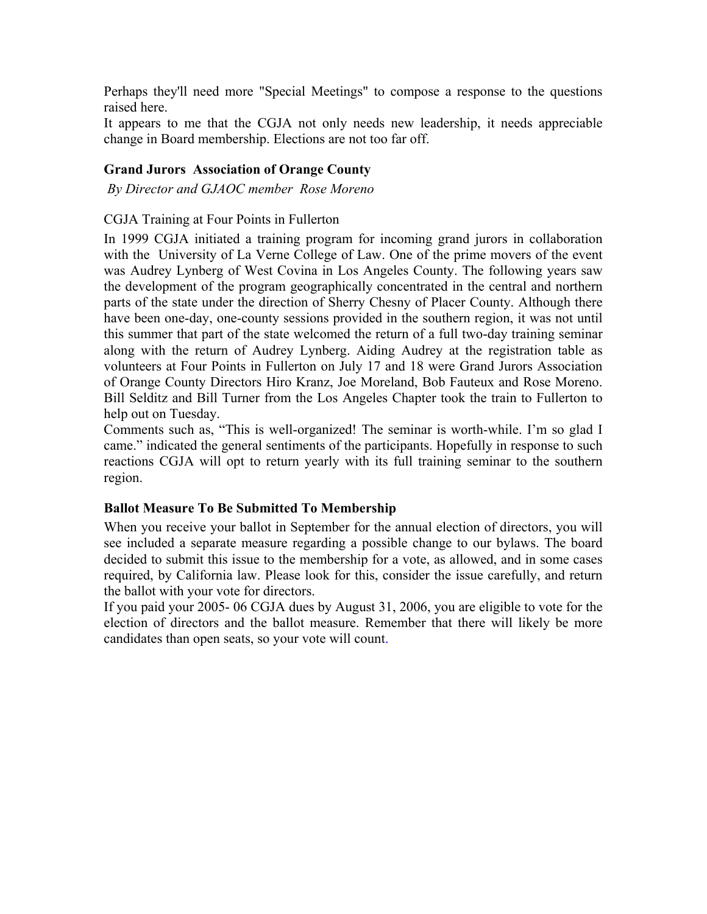<span id="page-8-0"></span>Perhaps they'll need more "Special Meetings" to compose a response to the questions raised here.

It appears to me that the CGJA not only needs new leadership, it needs appreciable change in Board membership. Elections are not too far off.

### **Grand Jurors Association of Orange County**

 *By Director and GJAOC member Rose Moreno* 

### CGJA Training at Four Points in Fullerton

In 1999 CGJA initiated a training program for incoming grand jurors in collaboration with the University of La Verne College of Law. One of the prime movers of the event was Audrey Lynberg of West Covina in Los Angeles County. The following years saw the development of the program geographically concentrated in the central and northern parts of the state under the direction of Sherry Chesny of Placer County. Although there have been one-day, one-county sessions provided in the southern region, it was not until this summer that part of the state welcomed the return of a full two-day training seminar along with the return of Audrey Lynberg. Aiding Audrey at the registration table as volunteers at Four Points in Fullerton on July 17 and 18 were Grand Jurors Association of Orange County Directors Hiro Kranz, Joe Moreland, Bob Fauteux and Rose Moreno. Bill Selditz and Bill Turner from the Los Angeles Chapter took the train to Fullerton to help out on Tuesday.

Comments such as, "This is well-organized! The seminar is worth-while. I'm so glad I came." indicated the general sentiments of the participants. Hopefully in response to such reactions CGJA will opt to return yearly with its full training seminar to the southern region.

### **Ballot Measure To Be Submitted To Membership**

When you receive your ballot in September for the annual election of directors, you will see included a separate measure regarding a possible change to our bylaws. The board decided to submit this issue to the membership for a vote, as allowed, and in some cases required, by California law. Please look for this, consider the issue carefully, and return the ballot with your vote for directors.

If you paid your 2005- 06 CGJA dues by August 31, 2006, you are eligible to vote for the election of directors and the ballot measure. Remember that there will likely be more candidates than open seats, so your vote will count.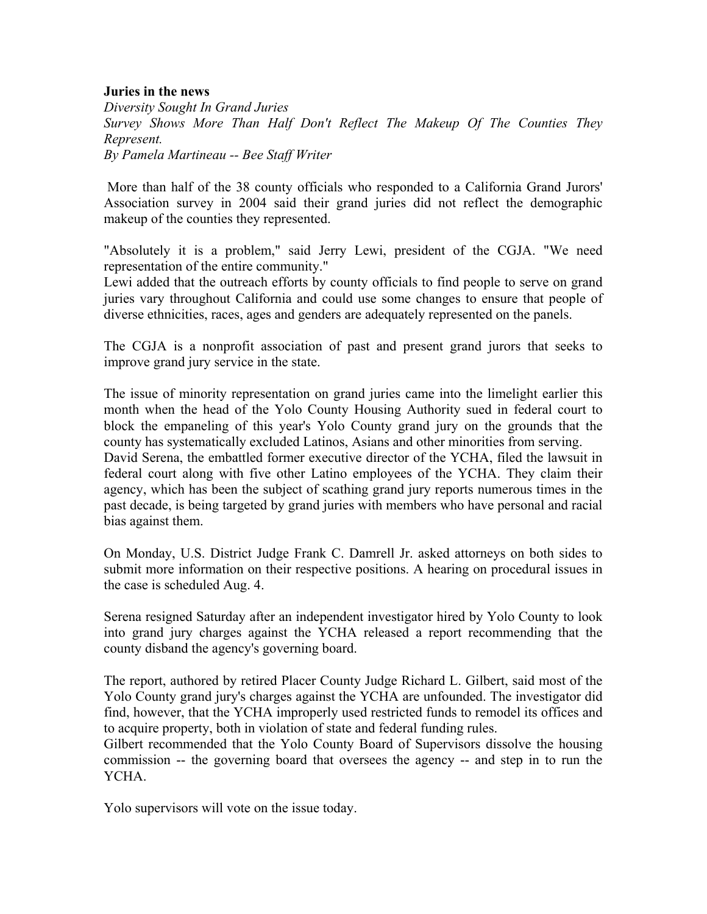### <span id="page-9-0"></span>**Juries in the news**

*Diversity Sought In Grand Juries Survey Shows More Than Half Don't Reflect The Makeup Of The Counties They Represent. By Pamela Martineau -- Bee Staff Writer* 

 More than half of the 38 county officials who responded to a California Grand Jurors' Association survey in 2004 said their grand juries did not reflect the demographic makeup of the counties they represented.

"Absolutely it is a problem," said Jerry Lewi, president of the CGJA. "We need representation of the entire community."

Lewi added that the outreach efforts by county officials to find people to serve on grand juries vary throughout California and could use some changes to ensure that people of diverse ethnicities, races, ages and genders are adequately represented on the panels.

The CGJA is a nonprofit association of past and present grand jurors that seeks to improve grand jury service in the state.

The issue of minority representation on grand juries came into the limelight earlier this month when the head of the Yolo County Housing Authority sued in federal court to block the empaneling of this year's Yolo County grand jury on the grounds that the county has systematically excluded Latinos, Asians and other minorities from serving.

David Serena, the embattled former executive director of the YCHA, filed the lawsuit in federal court along with five other Latino employees of the YCHA. They claim their agency, which has been the subject of scathing grand jury reports numerous times in the past decade, is being targeted by grand juries with members who have personal and racial bias against them.

On Monday, U.S. District Judge Frank C. Damrell Jr. asked attorneys on both sides to submit more information on their respective positions. A hearing on procedural issues in the case is scheduled Aug. 4.

Serena resigned Saturday after an independent investigator hired by Yolo County to look into grand jury charges against the YCHA released a report recommending that the county disband the agency's governing board.

The report, authored by retired Placer County Judge Richard L. Gilbert, said most of the Yolo County grand jury's charges against the YCHA are unfounded. The investigator did find, however, that the YCHA improperly used restricted funds to remodel its offices and to acquire property, both in violation of state and federal funding rules.

Gilbert recommended that the Yolo County Board of Supervisors dissolve the housing commission -- the governing board that oversees the agency -- and step in to run the YCHA.

Yolo supervisors will vote on the issue today.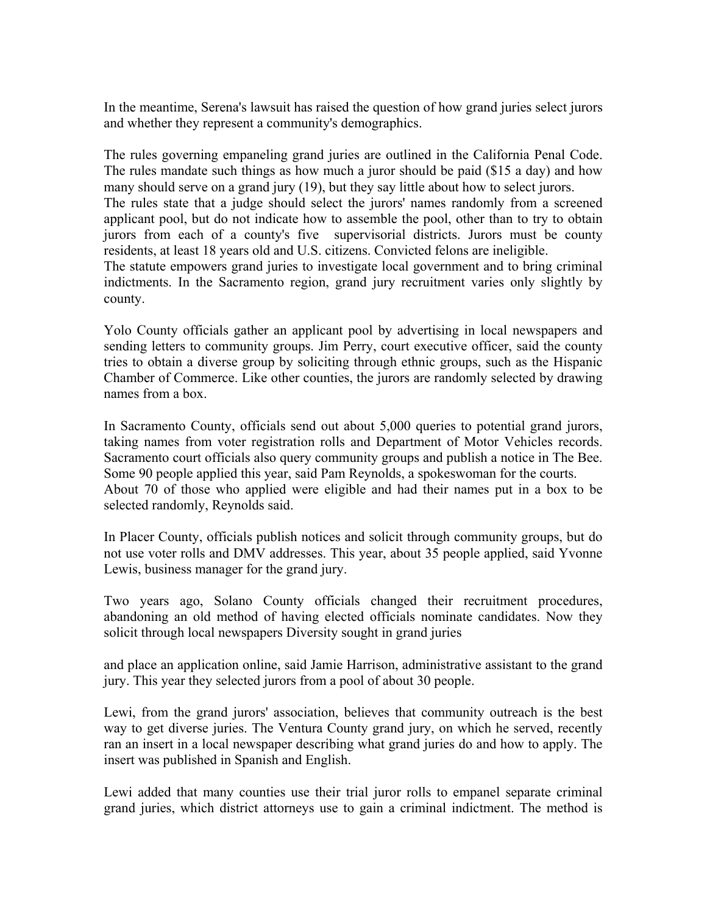In the meantime, Serena's lawsuit has raised the question of how grand juries select jurors and whether they represent a community's demographics.

The rules governing empaneling grand juries are outlined in the California Penal Code. The rules mandate such things as how much a juror should be paid (\$15 a day) and how many should serve on a grand jury (19), but they say little about how to select jurors. The rules state that a judge should select the jurors' names randomly from a screened applicant pool, but do not indicate how to assemble the pool, other than to try to obtain jurors from each of a county's five supervisorial districts. Jurors must be county residents, at least 18 years old and U.S. citizens. Convicted felons are ineligible. The statute empowers grand juries to investigate local government and to bring criminal indictments. In the Sacramento region, grand jury recruitment varies only slightly by county.

Yolo County officials gather an applicant pool by advertising in local newspapers and sending letters to community groups. Jim Perry, court executive officer, said the county tries to obtain a diverse group by soliciting through ethnic groups, such as the Hispanic Chamber of Commerce. Like other counties, the jurors are randomly selected by drawing names from a box.

In Sacramento County, officials send out about 5,000 queries to potential grand jurors, taking names from voter registration rolls and Department of Motor Vehicles records. Sacramento court officials also query community groups and publish a notice in The Bee. Some 90 people applied this year, said Pam Reynolds, a spokeswoman for the courts. About 70 of those who applied were eligible and had their names put in a box to be selected randomly, Reynolds said.

In Placer County, officials publish notices and solicit through community groups, but do not use voter rolls and DMV addresses. This year, about 35 people applied, said Yvonne Lewis, business manager for the grand jury.

Two years ago, Solano County officials changed their recruitment procedures, abandoning an old method of having elected officials nominate candidates. Now they solicit through local newspapers Diversity sought in grand juries

and place an application online, said Jamie Harrison, administrative assistant to the grand jury. This year they selected jurors from a pool of about 30 people.

Lewi, from the grand jurors' association, believes that community outreach is the best way to get diverse juries. The Ventura County grand jury, on which he served, recently ran an insert in a local newspaper describing what grand juries do and how to apply. The insert was published in Spanish and English.

Lewi added that many counties use their trial juror rolls to empanel separate criminal grand juries, which district attorneys use to gain a criminal indictment. The method is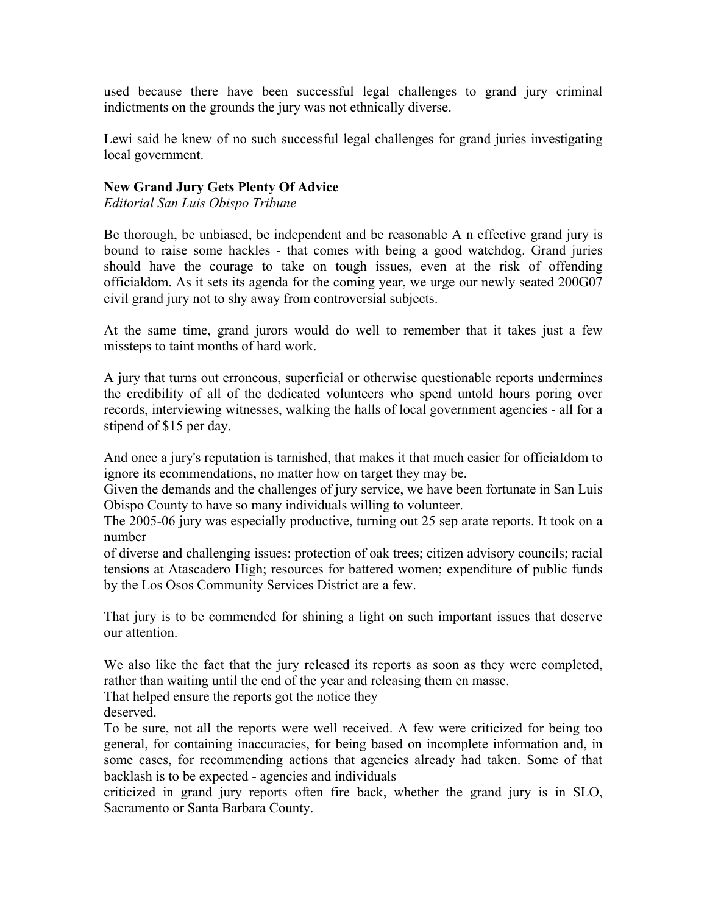<span id="page-11-0"></span>used because there have been successful legal challenges to grand jury criminal indictments on the grounds the jury was not ethnically diverse.

Lewi said he knew of no such successful legal challenges for grand juries investigating local government.

### **New Grand Jury Gets Plenty Of Advice**

*Editorial San Luis Obispo Tribune* 

Be thorough, be unbiased, be independent and be reasonable A n effective grand jury is bound to raise some hackles - that comes with being a good watchdog. Grand juries should have the courage to take on tough issues, even at the risk of offending officialdom. As it sets its agenda for the coming year, we urge our newly seated 200G07 civil grand jury not to shy away from controversial subjects.

At the same time, grand jurors would do well to remember that it takes just a few missteps to taint months of hard work.

A jury that turns out erroneous, superficial or otherwise questionable reports undermines the credibility of all of the dedicated volunteers who spend untold hours poring over records, interviewing witnesses, walking the halls of local government agencies - all for a stipend of \$15 per day.

And once a jury's reputation is tarnished, that makes it that much easier for officiaIdom to ignore its ecommendations, no matter how on target they may be.

Given the demands and the challenges of jury service, we have been fortunate in San Luis Obispo County to have so many individuals willing to volunteer.

The 2005-06 jury was especially productive, turning out 25 sep arate reports. It took on a number

of diverse and challenging issues: protection of oak trees; citizen advisory councils; racial tensions at Atascadero High; resources for battered women; expenditure of public funds by the Los Osos Community Services District are a few.

That jury is to be commended for shining a light on such important issues that deserve our attention.

We also like the fact that the jury released its reports as soon as they were completed, rather than waiting until the end of the year and releasing them en masse.

That helped ensure the reports got the notice they

deserved.

To be sure, not all the reports were well received. A few were criticized for being too general, for containing inaccuracies, for being based on incomplete information and, in some cases, for recommending actions that agencies already had taken. Some of that backlash is to be expected - agencies and individuals

criticized in grand jury reports often fire back, whether the grand jury is in SLO, Sacramento or Santa Barbara County.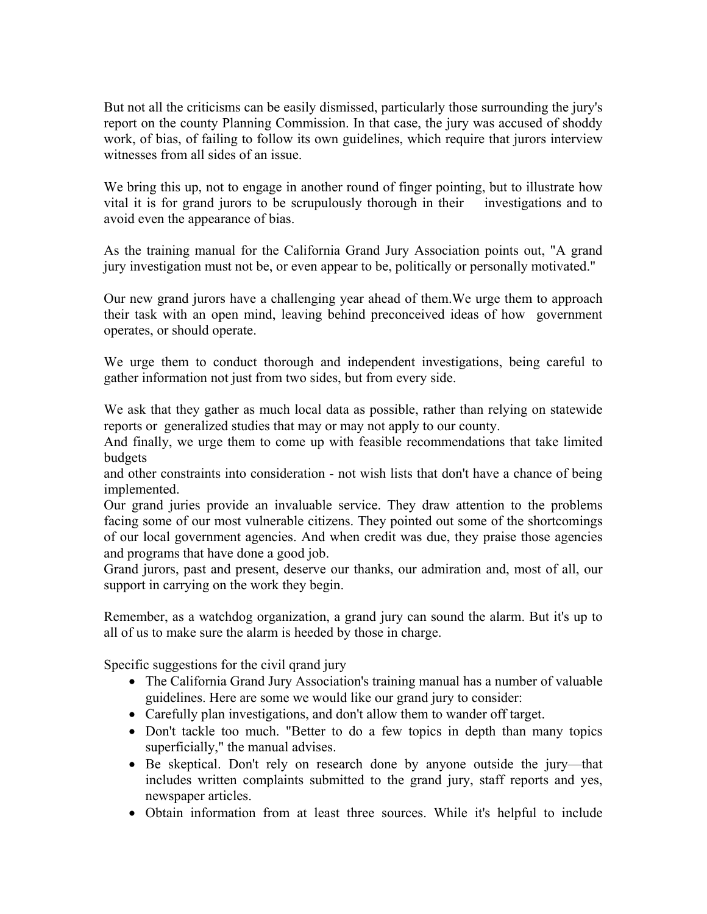But not all the criticisms can be easily dismissed, particularly those surrounding the jury's report on the county Planning Commission. In that case, the jury was accused of shoddy work, of bias, of failing to follow its own guidelines, which require that jurors interview witnesses from all sides of an issue.

We bring this up, not to engage in another round of finger pointing, but to illustrate how vital it is for grand jurors to be scrupulously thorough in their investigations and to avoid even the appearance of bias.

As the training manual for the California Grand Jury Association points out, "A grand jury investigation must not be, or even appear to be, politically or personally motivated."

Our new grand jurors have a challenging year ahead of them.We urge them to approach their task with an open mind, leaving behind preconceived ideas of how government operates, or should operate.

We urge them to conduct thorough and independent investigations, being careful to gather information not just from two sides, but from every side.

We ask that they gather as much local data as possible, rather than relying on statewide reports or generalized studies that may or may not apply to our county.

And finally, we urge them to come up with feasible recommendations that take limited budgets

and other constraints into consideration - not wish lists that don't have a chance of being implemented.

Our grand juries provide an invaluable service. They draw attention to the problems facing some of our most vulnerable citizens. They pointed out some of the shortcomings of our local government agencies. And when credit was due, they praise those agencies and programs that have done a good job.

Grand jurors, past and present, deserve our thanks, our admiration and, most of all, our support in carrying on the work they begin.

Remember, as a watchdog organization, a grand jury can sound the alarm. But it's up to all of us to make sure the alarm is heeded by those in charge.

Specific suggestions for the civil qrand jury

- The California Grand Jury Association's training manual has a number of valuable guidelines. Here are some we would like our grand jury to consider:
- Carefully plan investigations, and don't allow them to wander off target.
- Don't tackle too much. "Better to do a few topics in depth than many topics superficially," the manual advises.
- Be skeptical. Don't rely on research done by anyone outside the jury—that includes written complaints submitted to the grand jury, staff reports and yes, newspaper articles.
- Obtain information from at least three sources. While it's helpful to include